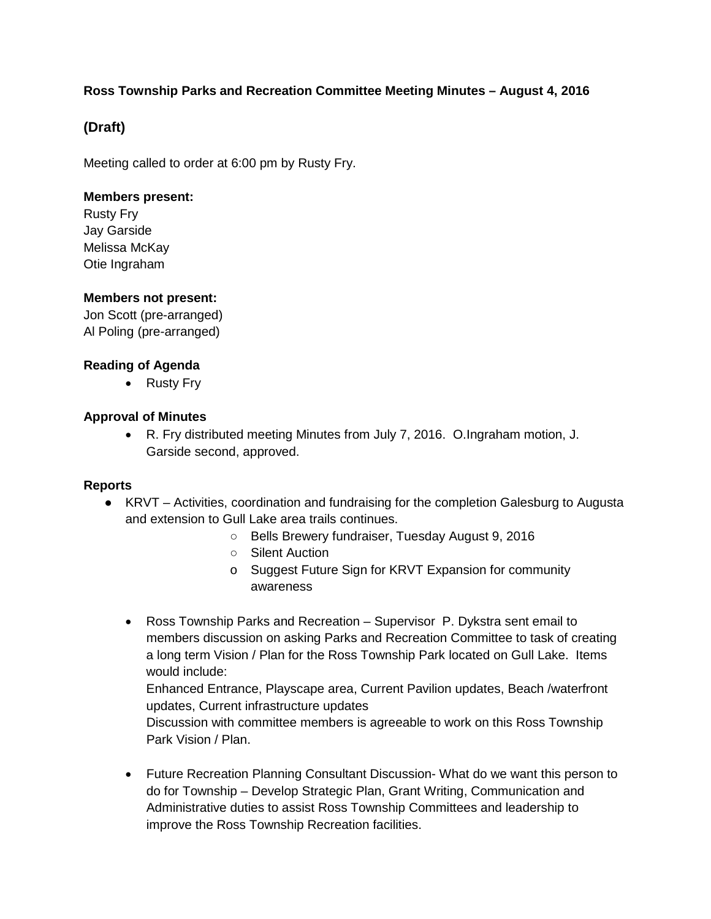## **Ross Township Parks and Recreation Committee Meeting Minutes – August 4, 2016**

# **(Draft)**

Meeting called to order at 6:00 pm by Rusty Fry.

#### **Members present:**

Rusty Fry Jay Garside Melissa McKay Otie Ingraham

## **Members not present:**

Jon Scott (pre-arranged) Al Poling (pre-arranged)

## **Reading of Agenda**

• Rusty Fry

#### **Approval of Minutes**

• R. Fry distributed meeting Minutes from July 7, 2016. O.Ingraham motion, J. Garside second, approved.

#### **Reports**

- KRVT Activities, coordination and fundraising for the completion Galesburg to Augusta and extension to Gull Lake area trails continues.
	- Bells Brewery fundraiser, Tuesday August 9, 2016
	- Silent Auction
	- o Suggest Future Sign for KRVT Expansion for community awareness
	- Ross Township Parks and Recreation Supervisor P. Dykstra sent email to members discussion on asking Parks and Recreation Committee to task of creating a long term Vision / Plan for the Ross Township Park located on Gull Lake. Items would include:

Enhanced Entrance, Playscape area, Current Pavilion updates, Beach /waterfront updates, Current infrastructure updates

Discussion with committee members is agreeable to work on this Ross Township Park Vision / Plan.

• Future Recreation Planning Consultant Discussion- What do we want this person to do for Township – Develop Strategic Plan, Grant Writing, Communication and Administrative duties to assist Ross Township Committees and leadership to improve the Ross Township Recreation facilities.